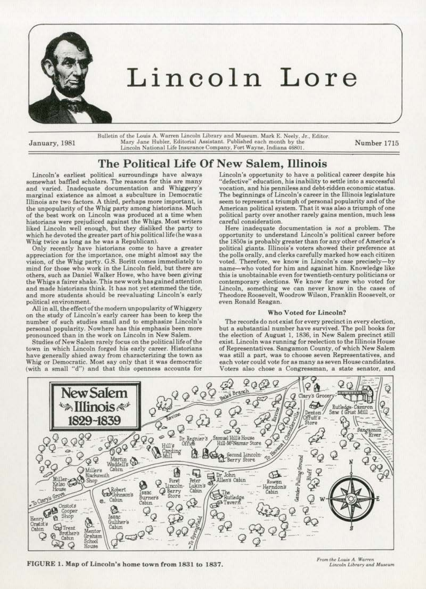

# Lincoln Lore

Bulletin of the Louis A. Warren Lincoln Library and Museum. Mark E. Neely. Jr., Editor. January, 1981 Mary Jane Hubler, Editorial Assistant. Published each month by the Lincoln National Life Insurance Company, Fort Wayne, Indiana 46801.

Number 1715

# The Political Life Of New Salem, Illinois

Lincoln's earliest political surroundings have always somewhat baffled scholars. The reasons for this are many and varied. Inadequate documentation and Whiggery's marginal existence as almost a subculture in Democratic Illinois are two factors. A third, perhaps more important, is the unpopularity of the Whig party among historians. Much of the best work on Lincoln was produced at a time when historians were prejudiced against the Whigs. Most writers liked Lincoln well enough, but they disliked the party to which he devoted the greater part of his political life (he was a Whig twice as long as he was a Republican).

Only recently have historiens come to have a greater appreciation for the importance, one might almost say the vision. of the Whig party. G.S. Boritt comes immediately to mind for those who work in the Lincoln field. but there are others, such as Daniel Walker Howe. who have been giving the Whigs a fairer ebake. This new work has gained attention and made historians think. It has not yet stemmed the tide, and more students should be reevaluating Lincoln's early political environment.

All in all, the effect of the modern unpopularity of Whiggery on the study of Lincoln's early career has been to keep the number of such studies small and to emphasize Lincoln's personal popularity. Nowhere has this emphasis been more pronounced than in the work on Lincoln in New Salem.

Studies of New Salem rarely focus on the politicallifeofthe town in which Lincoln forged his early career. Historians have generally shied away from characterizing the town as Whig or Democratic. Most say only that it was democratic (with a small "d") and that this opennesa accounts for

Lincoln's opportunity to have a political career despite his "defective" education, his inability to settle into a successful vocation, and his penniless and debt-ridden economic status. The beginnings of Lincoln's career in the Illinois legislature seem to represent a triumph of personal popularity and of the American political system. That it was also a triumph of one political party over another rarely gains mention. much less careful consideration.

Here inadequate documentation is *not* a problem. The opportunity to understand Lincoln's political career before the 1850s is probably greater than for any other of America's political giants. fllinois's voters showed their preference at the polls orally, and clerks carefully marked how each citizen voted. Therefore, we know in Lincoln's case precisely-by name-who voted for him and against him. Knowledge like this is unobtainable even for twentieth-century politicians or contemporary elections. We know for sure who voted for Lincoln. something we can never know in the cases of Theodore Roosevelt, Woodrow Wilson, Franklin Roosevelt, or even Ronald Reagan.

#### Who Voted for Lincoln?

The records do not exist for every precinct in every election, but a substantial number have survived. The poll books for the election of August I, 1886, in New Salem precinct still exist. Lincoln was running for reelection to the Illinois House of Representatives. Sangamon County, of which New Salem was still a part, was to choose seven Representatives, and each voter could vote for as many as seven House candidates. Voters also chose a Congressman, a state senator, and



FIGURE I. Map of Lincoln's home town from 1831 to 1837.

From the Louis A. Warren Lincoln Library and Museum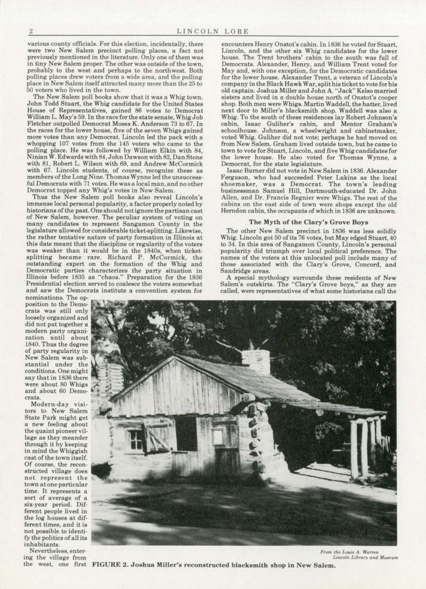various county officials. For this election, incidentally, there were two New Salem precinct polling places, a fact not in tiny New Salem proper. The other was outside of the town, probably to the west and perhaps to the northwest. Both polling places drew voters from a wide area, and the polling place in New Salem itself attracted many more than the 25 to 50 voters who lived in the town.

The New Salem poll books show that it was a Whig town. John Todd Stuart, the Whig candidate for the United States House of Representatives, gained 86 votes to Democrat William L. May's 59. In theraceforthestatesenote, Whig Job Fletcher outpolled Democrat Moses K. Anderson 73 to 67. In the races for the lower house, five of the seven Whigs gained more votes than any Democrat. Lincoln led the pack with a whopping 107 votes from the 145 voters who came to the polling place. He was followed by William Elkin with 84, Ninian W. Edwards with84,John Dawson with82, Dan Stone with 81, Robert L. Wilson with 69, and Andrew McCormick with 67. Lincoln students, of course, recognize these as members of the Long Nine. Thomas Wynne led the unsuccessful Democrats with 71 votes. He was a local man, and no other Democrat topped any Whig's votes in New Salem.

Thus the New Salem poll books also reveal Lincoln's immense local personal popularity, a factor properly noted by historians of the past. One should not ignore the partisan cast of New Salem, however. The peculiar system of voting on many candidates to represent Sangamon County in the legislature allowed for considerable ticket-splitting. Likewise, the rather tentative nature of party formation in Illinois at this date meant that the discipline or regularity of the voters was weaker than it would be in the 1840s, when ticketsplitting became rare. Richard P. McCormick, the outstanding expert on the formation of the Whig and Democratic partie& characterizes the party situation in Illinois before 1835 as "chaos." Preparation for the 1836 Presidential election served to coalesce the voters somewhat and saw the Democrats institute a convention system for

encounters Henry Onstot's cabin. In 1836 he voted for Stuart, Lincoln, and the other aix Whig candidates for the lower house. The Trent brothers' cabin *to* the south was full of Democrats. Alexander, Henry, and William Trent voted for May and, with one exception, for the Democratic candidates for the lower bouse. Alexander Trent, a veteran of Lincoln's company in the Black Hawk War, split his ticket to vote for his old captain. Joshua Miller and John A. ''Jack" Kelso married sisters and lived in a double house north of Onstot's cooper shop. Both men were Whigs. Martin Waddell, the hatter, lived Whig. To the south of these residences lay Robert Johnson's cabin, Isaac Guliher's cabin, and Mentor Graham's schoolhouse. Johnson, a wheelwright and cabinetmaker. voted Whig. Guliher did not vote; perhaps he had moved on from New Salem. Graham lived outside town, but he came to town to vote for Stuart, Lincoln, and five Whig candidates for the lower house. He also voted for Thomas Wynne, a Democrat, for the state legislature.

Isaac Burner did not vote in New Salem in 1836. Alexander Ferguson, who had succeeded Peter Lukins as the local shoemaker, was a Democrat. The town's leading businessman Samuel Hill, Dartmouth-educated Dr. John Allen, and Dr. Francis Regnier were Whigs. The rest of the cabins on the east side of town were shops except the old Herndon cabin. the occupants of which in 1836 are unknown.

#### The Myth of the Clary's Grove Boys

The other New Salem precinct in 1836 was less solidly Whig. Lincoln got 50 of ita 76 votes, but May edged Stuart, 40 to 34. In this area of Sangamon County, Lincoln's personal names of the voters at this unlocated poll include many of those associated with the Clary's Grove, Concord, and Sandridge areas.

A special mythology surrounds these residents of New Salem's outskirts. The "Clary's Grove boys," as they are called, were representatives of what some historians call the

nominations. The opposition to the Democrats was still only loosely organized and modern party organization until about 1840. Thus the degree of party regularity in New Salem was sub· stantial under the conditions. One might say that in 1836 there were about 80 Whigs and about 60 Demo-<br>crats.

Modern-day visitors to New Salem State Pork might get a new feeling about the Quaint pioneer vil· lage as they meander through it by keeping in mind the Whiggish cast of the town itaelf. Of course. the recon· structed village does not represent the town at one particular time. lt represents a sort of average of a six-year period. Dif· ferent people lived in the log houses at different times. and it is not possible to identi· fy the politics of all its inhabitants.

Nevertheless, enter· ing the village from



the west, one first FIGURE 2. Joshua Miller's reconstructed blacksmith shop in New Salem.

*From the Louis A. Warren* Lincoln Library and Museum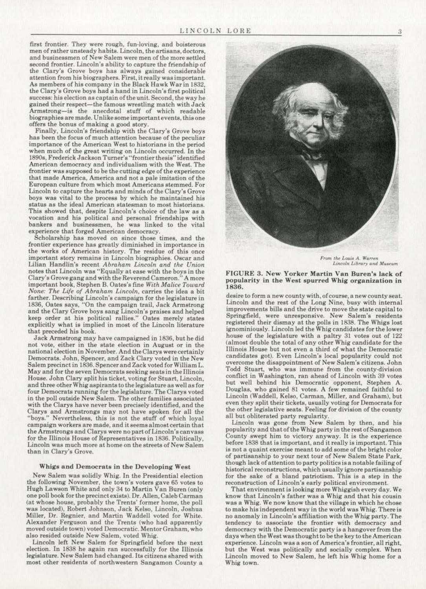first frontier. They were rough, fun·loving, and boisterous men of rather unsteady habits. Lincoln, the artisans, doctors. and businessmen of New Salem were men of the more settled second frontier. Lincoln's ability to capture the friendship of the Clary's Grove boys has always gained considerable attention from his biographers. First. it really was important. As members of his company in the Black Hawk War in 1832, the Clary's Grove boys had a hand in Lincoln's first political success: his election as captain of the unit. Second. the way he gained their respect-the famous wrestling match with Jack Armstrong-is the anecdotal stuff of which readable biographies are made. Unlike some important events, this one offers the bonus of making a good story.

Finally, Lincoln's friendship with the Clary's Grove boys has been the focus of much attention because of the peculiar importance of the American West to historians in the period when much of the great writing on Lincoln occurred. In the 1890s, Frederick Jackson Turner's "frontier thesis" identified American democracy and individualism \\ith the West. The frontier was supposed to be the cutting edge of the experience that made America, America and not a pale imitation of the European culture from which most Americans stemmed. For Lincoln to capture the hearts and minds of the Clary's Grove boys was vital to the process by which he maintained his status as the ideal American statesman to most historians. This showed that, despite Lincoln's choice of the law as a vocation and his political and personal friendships with bankers and businessmen, he was linked to the vital experience that forged American democracy.

Scholarship has moved on since those times. and the frontier experience has greatly diminished in importance in important story remains in Lincoln biographies. Oscar and Lilian Handlin's recent *Abraham Lincoln and the Union* notes that Uncoln was "Equally at ease with the boys in the Clary's Grove gang and with the Reverend Cameron." A more important book, Stephen B. Oates's fine With Malice Toward *None: The Life o{ Abraham Lincoln,* carries the idea a bit farther. Describing Lincoln's campaign for the legislature in 1836, Oates says, "On the campaign trail, Jack Armstrong and the Clary Grove boys sang Lincoln's praises and helped keep order at his political rallies." Oates merely states explicitly what is implied in most of the Lincoln literature that preceded his book.

Jack Armstrong may have campaigned in 1836, but he did not vote, either in the state election *in* August or in the national election in November. And the Clarys were certainly Democrats. John, Spencer, and Zack Clary voted in the New Salem precinct in 1836. Spencer and Zack voted for William L. May and for the seven Democrats seeking seats in the Illinois House. John Clary split his ticket, voting for Stuart, Uncoln. and three other Whig aspirants to the legislature as well as for four Democrats running for the legislature. The Clarys voted in the poll outside New Salem. The other families associated with the Clarys have never been precisely identified, and the Clarys and Armstrongs may not have spoken for all the "boys." Nevertheless, this is not the stuff of which loyal campaign workers are made, and itseemsalmostcertain that the Armstrongs and Clarys were no part of Lincoln's canvass<br>for the Illinois House of Representatives in 1836. Politically, Lincoln was much more at home on the streets of New Salem than in Clary's Grove.

#### Whigs and Democrats in the Developing West

New Salem was solidly Whig. ln the Presidential election the following November, the town's voters gave 65 votes to Hugh Lawson White and only 34 to Martin Van Buren (only one poll book for the precinct exists). Dr. Allen, Caleb Carman (at whose house, probably the Trents' former home, the poll was located), Robert Johnson, Jack Kelso, Lincoln, Joshua Miller, Dr. Regnier, and Martin Waddell voted for White. Alexander Ferguson and the Trents (who had apparently moved outside town) voted Democratic. Mentor Graham, who also resided outside New Salem, voted Whig.

Lincoln left New Salem for Springfield before the next election. In 1838 he again ran successfully for the Illinois legislature. New Salem had changed. Its citizens shared with most other residents of northwestern Sangamon County a



*From the Louis A. Warren* Lincoln Library and Museum

#### FIGURE 3. New Yorker Martin Van Buren's lack of popuJarity in the West spurred Whig organjzation in 1836.

desire to form a new county with, of course. a new county seat. Lincoln and the rest of the Long Nine, busy with internal improvements bills and the drive to move the state capital to Springfield, were unresponsive. New Salem's residents registered their dismay at the polls in 1838. The Whigs lost ignominiously. Lincoln led the Whig candidates for the lower house of the legislature with a paltry 31 votes out of 122 (almost double the total of any other Whig candidate for the Illinois House but not even a third of what the Democratic candidates got). Even Lincoln's local popularity could not overcome the disappointment of New Salem's citizens. John Todd Stuart, who was immune from the county-division conflict in Washington, ran ahead of Lincoln with 39 votes but well behind his Democratic opponent, Stephen A. Douglas, who gained 81 votes. A few remained faithful to Lincoln (Waddell, Kelso, Carman, Miller, and Graham), but even they split their ticketa, usually voting for Democrats for the other legislative seats. Feeling for division of the county all but obliterated party regularity.

Lincoln was gone from New Salem by then, and his popularity and that of the Whig party in therestofSangamon before 1838 that is important, and it really is important. This is not a quaint exercise meant to add some of the bright color of partisanship to your next tour of New Salem State Park, though lack of attention to party politics is a notable failing of historical reconstructions, which usually ignore partisanship for the sake of a bland patriotism. This is a step in the reconstruction of Lincoln's early political environment.

That environment is looking more Whiggish everyday. We know that Lincoln's father was a Whig and that his cousin was a Whig. We now know that the village in which he chose to make his independent way in the world was Whig. There is no anomaly in Lincoln's affiliation with the Whig party. The tendency to associate the frontier with democracy and democracy with the Democratic party is a hangover from the days when the West was thought to be the key to the American experience. Lincoln was a son of America's frontier, all right, but the West was politically and socially complex. When Lincoln moved to New Salem, he left his Whig home for a Whig town.